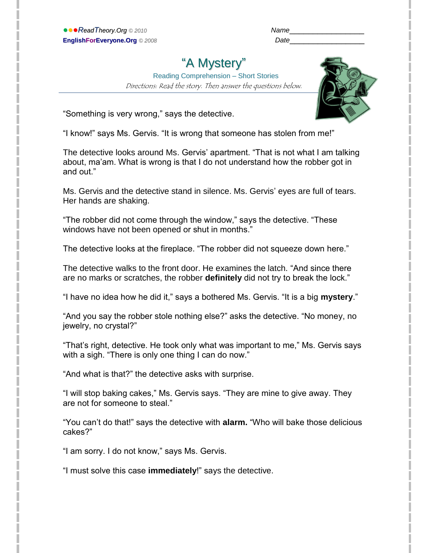| Name |  |
|------|--|
|      |  |

# "A Mystery"

 Reading Comprehension – Short Stories Directions: Read the story. Then answer the questions below.



"Something is very wrong," says the detective.

"I know!" says Ms. Gervis. "It is wrong that someone has stolen from me!"

The detective looks around Ms. Gervis' apartment. "That is not what I am talking about, ma'am. What is wrong is that I do not understand how the robber got in and out."

Ms. Gervis and the detective stand in silence. Ms. Gervis' eyes are full of tears. Her hands are shaking.

"The robber did not come through the window," says the detective. "These windows have not been opened or shut in months."

The detective looks at the fireplace. "The robber did not squeeze down here."

The detective walks to the front door. He examines the latch. "And since there are no marks or scratches, the robber **definitely** did not try to break the lock."

"I have no idea how he did it," says a bothered Ms. Gervis. "It is a big **mystery**."

"And you say the robber stole nothing else?" asks the detective. "No money, no jewelry, no crystal?"

"That's right, detective. He took only what was important to me," Ms. Gervis says with a sigh. "There is only one thing I can do now."

"And what is that?" the detective asks with surprise.

"I will stop baking cakes," Ms. Gervis says. "They are mine to give away. They are not for someone to steal."

"You can't do that!" says the detective with **alarm.** "Who will bake those delicious cakes?"

"I am sorry. I do not know," says Ms. Gervis.

"I must solve this case **immediately**!" says the detective.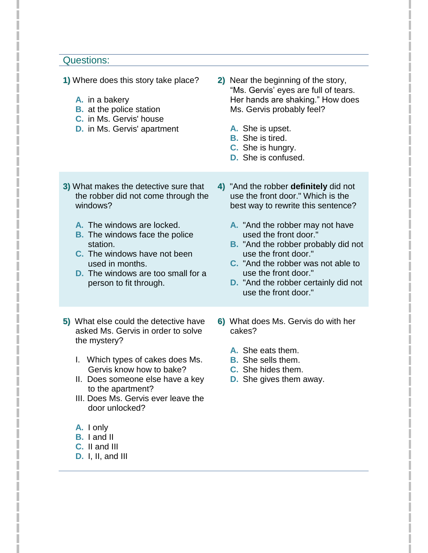#### Questions:

- **1)** Where does this story take place?
	- **A.** in a bakery
	- **B.** at the police station
	- **C.** in Ms. Gervis' house
	- **D.** in Ms. Gervis' apartment
- **2)** Near the beginning of the story, "Ms. Gervis' eyes are full of tears. Her hands are shaking." How does Ms. Gervis probably feel?
	- **A.** She is upset.
	- **B.** She is tired.
	- **C.** She is hungry.
	- **D.** She is confused.
- **3)** What makes the detective sure that the robber did not come through the windows?
	- **A.** The windows are locked.
	- **B.** The windows face the police station.
	- **C.** The windows have not been used in months.
	- **D.** The windows are too small for a person to fit through.
- **5)** What else could the detective have asked Ms. Gervis in order to solve the mystery?
	- I. Which types of cakes does Ms. Gervis know how to bake?
	- II. Does someone else have a key to the apartment?
	- III. Does Ms. Gervis ever leave the door unlocked?
	- **A.** I only
	- **B.** I and II
	- **C.** II and III
	- **D.** I, II, and III
- **4)** "And the robber **definitely** did not use the front door." Which is the best way to rewrite this sentence?
	- **A.** "And the robber may not have used the front door."
	- **B.** "And the robber probably did not use the front door."
	- **C.** "And the robber was not able to use the front door."
	- **D.** "And the robber certainly did not use the front door."
- **6)** What does Ms. Gervis do with her cakes?
	- **A.** She eats them.
	- **B.** She sells them.
	- **C.** She hides them.
	- **D.** She gives them away.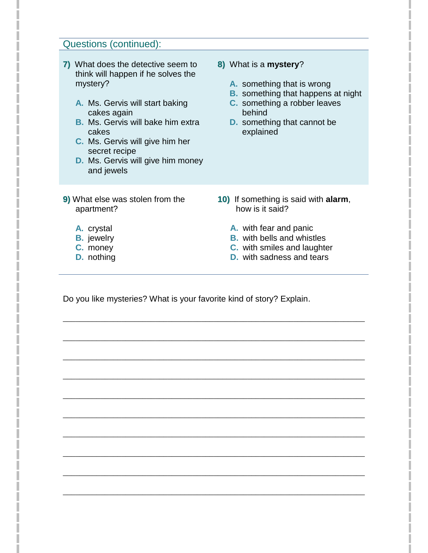# Questions (continued):

- **7)** What does the detective seem to think will happen if he solves the mystery?
	- **A.** Ms. Gervis will start baking cakes again
	- **B.** Ms. Gervis will bake him extra cakes
	- **C.** Ms. Gervis will give him her secret recipe
	- **D.** Ms. Gervis will give him money and jewels
- **8)** What is a **mystery**?
	- **A.** something that is wrong
	- **B.** something that happens at night
	- **C.** something a robber leaves behind
	- **D.** something that cannot be explained

- **9)** What else was stolen from the apartment?
- **10)** If something is said with **alarm**, how is it said?

- **A.** crystal
- **B.** jewelry
- **C.** money
- **D.** nothing
- **A.** with fear and panic
- **B.** with bells and whistles
- **C.** with smiles and laughter
- **D.** with sadness and tears

Do you like mysteries? What is your favorite kind of story? Explain.

\_\_\_\_\_\_\_\_\_\_\_\_\_\_\_\_\_\_\_\_\_\_\_\_\_\_\_\_\_\_\_\_\_\_\_\_\_\_\_\_\_\_\_\_\_\_\_\_\_\_\_\_\_\_\_\_\_\_\_\_\_\_\_\_\_\_\_\_\_\_\_\_

\_\_\_\_\_\_\_\_\_\_\_\_\_\_\_\_\_\_\_\_\_\_\_\_\_\_\_\_\_\_\_\_\_\_\_\_\_\_\_\_\_\_\_\_\_\_\_\_\_\_\_\_\_\_\_\_\_\_\_\_\_\_\_\_\_\_\_\_\_\_\_\_

\_\_\_\_\_\_\_\_\_\_\_\_\_\_\_\_\_\_\_\_\_\_\_\_\_\_\_\_\_\_\_\_\_\_\_\_\_\_\_\_\_\_\_\_\_\_\_\_\_\_\_\_\_\_\_\_\_\_\_\_\_\_\_\_\_\_\_\_\_\_\_\_

\_\_\_\_\_\_\_\_\_\_\_\_\_\_\_\_\_\_\_\_\_\_\_\_\_\_\_\_\_\_\_\_\_\_\_\_\_\_\_\_\_\_\_\_\_\_\_\_\_\_\_\_\_\_\_\_\_\_\_\_\_\_\_\_\_\_\_\_\_\_\_\_

\_\_\_\_\_\_\_\_\_\_\_\_\_\_\_\_\_\_\_\_\_\_\_\_\_\_\_\_\_\_\_\_\_\_\_\_\_\_\_\_\_\_\_\_\_\_\_\_\_\_\_\_\_\_\_\_\_\_\_\_\_\_\_\_\_\_\_\_\_\_\_\_

\_\_\_\_\_\_\_\_\_\_\_\_\_\_\_\_\_\_\_\_\_\_\_\_\_\_\_\_\_\_\_\_\_\_\_\_\_\_\_\_\_\_\_\_\_\_\_\_\_\_\_\_\_\_\_\_\_\_\_\_\_\_\_\_\_\_\_\_\_\_\_\_

\_\_\_\_\_\_\_\_\_\_\_\_\_\_\_\_\_\_\_\_\_\_\_\_\_\_\_\_\_\_\_\_\_\_\_\_\_\_\_\_\_\_\_\_\_\_\_\_\_\_\_\_\_\_\_\_\_\_\_\_\_\_\_\_\_\_\_\_\_\_\_\_

\_\_\_\_\_\_\_\_\_\_\_\_\_\_\_\_\_\_\_\_\_\_\_\_\_\_\_\_\_\_\_\_\_\_\_\_\_\_\_\_\_\_\_\_\_\_\_\_\_\_\_\_\_\_\_\_\_\_\_\_\_\_\_\_\_\_\_\_\_\_\_\_

\_\_\_\_\_\_\_\_\_\_\_\_\_\_\_\_\_\_\_\_\_\_\_\_\_\_\_\_\_\_\_\_\_\_\_\_\_\_\_\_\_\_\_\_\_\_\_\_\_\_\_\_\_\_\_\_\_\_\_\_\_\_\_\_\_\_\_\_\_\_\_\_

\_\_\_\_\_\_\_\_\_\_\_\_\_\_\_\_\_\_\_\_\_\_\_\_\_\_\_\_\_\_\_\_\_\_\_\_\_\_\_\_\_\_\_\_\_\_\_\_\_\_\_\_\_\_\_\_\_\_\_\_\_\_\_\_\_\_\_\_\_\_\_\_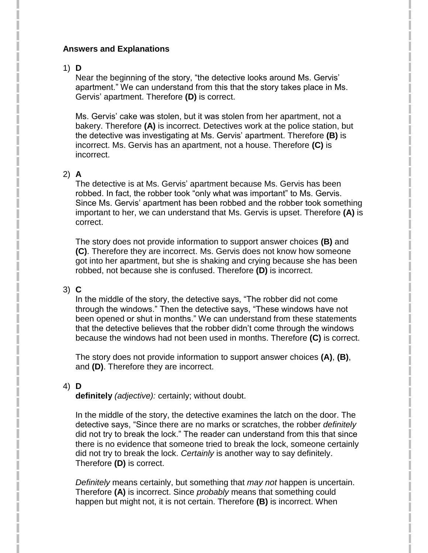#### **Answers and Explanations**

# 1) **D**

Near the beginning of the story, "the detective looks around Ms. Gervis' apartment." We can understand from this that the story takes place in Ms. Gervis' apartment. Therefore **(D)** is correct.

Ms. Gervis' cake was stolen, but it was stolen from her apartment, not a bakery. Therefore **(A)** is incorrect. Detectives work at the police station, but the detective was investigating at Ms. Gervis' apartment. Therefore **(B)** is incorrect. Ms. Gervis has an apartment, not a house. Therefore **(C)** is incorrect.

# 2) **A**

The detective is at Ms. Gervis' apartment because Ms. Gervis has been robbed. In fact, the robber took "only what was important" to Ms. Gervis. Since Ms. Gervis' apartment has been robbed and the robber took something important to her, we can understand that Ms. Gervis is upset. Therefore **(A)** is correct.

The story does not provide information to support answer choices **(B)** and **(C)**. Therefore they are incorrect. Ms. Gervis does not know how someone got into her apartment, but she is shaking and crying because she has been robbed, not because she is confused. Therefore **(D)** is incorrect.

# 3) **C**

In the middle of the story, the detective says, "The robber did not come through the windows." Then the detective says, "These windows have not been opened or shut in months." We can understand from these statements that the detective believes that the robber didn't come through the windows because the windows had not been used in months. Therefore **(C)** is correct.

The story does not provide information to support answer choices **(A)**, **(B)**, and **(D)**. Therefore they are incorrect.

# 4) **D**

**definitely** *(adjective):* certainly; without doubt.

In the middle of the story, the detective examines the latch on the door. The detective says, "Since there are no marks or scratches, the robber *definitely* did not try to break the lock." The reader can understand from this that since there is no evidence that someone tried to break the lock, someone certainly did not try to break the lock. *Certainly* is another way to say definitely. Therefore **(D)** is correct.

*Definitely* means certainly, but something that *may not* happen is uncertain. Therefore **(A)** is incorrect. Since *probably* means that something could happen but might not, it is not certain. Therefore **(B)** is incorrect. When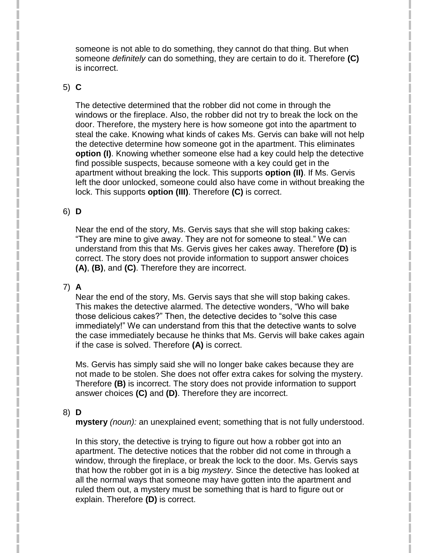someone is not able to do something, they cannot do that thing. But when someone *definitely* can do something, they are certain to do it. Therefore **(C)** is incorrect.

#### 5) **C**

The detective determined that the robber did not come in through the windows or the fireplace. Also, the robber did not try to break the lock on the door. Therefore, the mystery here is how someone got into the apartment to steal the cake. Knowing what kinds of cakes Ms. Gervis can bake will not help the detective determine how someone got in the apartment. This eliminates **option (I)**. Knowing whether someone else had a key could help the detective find possible suspects, because someone with a key could get in the apartment without breaking the lock. This supports **option (II)**. If Ms. Gervis left the door unlocked, someone could also have come in without breaking the lock. This supports **option (III)**. Therefore **(C)** is correct.

# 6) **D**

Near the end of the story, Ms. Gervis says that she will stop baking cakes: "They are mine to give away. They are not for someone to steal." We can understand from this that Ms. Gervis gives her cakes away. Therefore **(D)** is correct. The story does not provide information to support answer choices **(A)**, **(B)**, and **(C)**. Therefore they are incorrect.

# 7) **A**

Near the end of the story, Ms. Gervis says that she will stop baking cakes. This makes the detective alarmed. The detective wonders, "Who will bake those delicious cakes?" Then, the detective decides to "solve this case immediately!" We can understand from this that the detective wants to solve the case immediately because he thinks that Ms. Gervis will bake cakes again if the case is solved. Therefore **(A)** is correct.

Ms. Gervis has simply said she will no longer bake cakes because they are not made to be stolen. She does not offer extra cakes for solving the mystery. Therefore **(B)** is incorrect. The story does not provide information to support answer choices **(C)** and **(D)**. Therefore they are incorrect.

# 8) **D**

**mystery** *(noun):* an unexplained event; something that is not fully understood.

In this story, the detective is trying to figure out how a robber got into an apartment. The detective notices that the robber did not come in through a window, through the fireplace, or break the lock to the door. Ms. Gervis says that how the robber got in is a big *mystery*. Since the detective has looked at all the normal ways that someone may have gotten into the apartment and ruled them out, a mystery must be something that is hard to figure out or explain. Therefore **(D)** is correct.